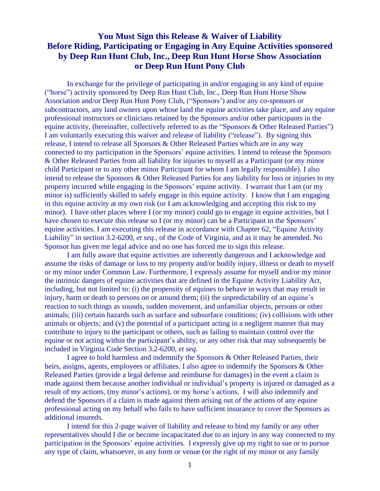## **You Must Sign this Release & Waiver of Liability Before Riding, Participating or Engaging in Any Equine Activities sponsored by Deep Run Hunt Club, Inc., Deep Run Hunt Horse Show Association or Deep Run Hunt Pony Club**

In exchange for the privilege of participating in and/or engaging in any kind of equine ("horse") activity sponsored by Deep Run Hunt Club, Inc., Deep Run Hunt Horse Show Association and/or Deep Run Hunt Pony Club, ("Sponsors') and/or any co-sponsors or subcontractors, any land owners upon whose land the equine activities take place, and any equine professional instructors or clinicians retained by the Sponsors and/or other participants in the equine activity, (hereinafter, collectively referred to as the "Sponsors & Other Released Parties") I am voluntarily executing this waiver and release of liability ("release"). By signing this release, I intend to release all Sponsors & Other Released Parties which are in any way connected to my participation in the Sponsors' equine activities. I intend to release the Sponsors & Other Released Parties from all liability for injuries to myself as a Participant (or my minor child Participant or to any other minor Participant for whom I am legally responsible). I also intend to release the Sponsors & Other Released Parties for any liability for loss or injuries to my property incurred while engaging in the Sponsors' equine activity. I warrant that I am (or my minor is) sufficiently skilled to safely engage in this equine activity. I know that I am engaging in this equine activity at my own risk (or I am acknowledging and accepting this risk to my minor). I have other places where I (or my minor) could go to engage in equine activities, but I have chosen to execute this release so I (or my minor) can be a Participant in the Sponsors' equine activities. I am executing this release in accordance with Chapter 62, "Equine Activity Liability" in section 3.2-6200, *et seq.,* of the Code of Virginia, and as it may be amended. No Sponsor has given me legal advice and no one has forced me to sign this release.

I am fully aware that equine activities are inherently dangerous and I acknowledge and assume the risks of damage or loss to my property and/or bodily injury, illness or death to myself or my minor under Common Law. Furthermore, I expressly assume for myself and/or my minor the intrinsic dangers of equine activities that are defined in the Equine Activity Liability Act, including, but not limited to: (i) the propensity of equines to behave in ways that may result in injury, harm or death to persons on or around them; (ii) the unpredictability of an equine's reaction to such things as sounds, sudden movement, and unfamiliar objects, persons or other animals; (iii) certain hazards such as surface and subsurface conditions; (iv) collisions with other animals or objects; and (v) the potential of a participant acting in a negligent manner that may contribute to injury to the participant or others, such as failing to maintain control over the equine or not acting within the participant's ability, or any other risk that may subsequently be included in Virginia Code Section 3.2-6200, *et seq.*

I agree to hold harmless and indemnify the Sponsors & Other Released Parties, their heirs, assigns, agents, employees or affiliates. I also agree to indemnify the Sponsors & Other Released Parties (provide a legal defense and reimburse for damages) in the event a claim is made against them because another individual or individual's property is injured or damaged as a result of my actions, (my minor's actions), or my horse's actions. I will also indemnify and defend the Sponsors if a claim is made against them arising out of the actions of any equine professional acting on my behalf who fails to have sufficient insurance to cover the Sponsors as additional insureds.

I intend for this 2-page waiver of liability and release to bind my family or any other representatives should I die or become incapacitated due to an injury in any way connected to my participation in the Sponsors' equine activities. I expressly give up my right to sue or to pursue any type of claim, whatsoever, in any form or venue (or the right of my minor or any family

1